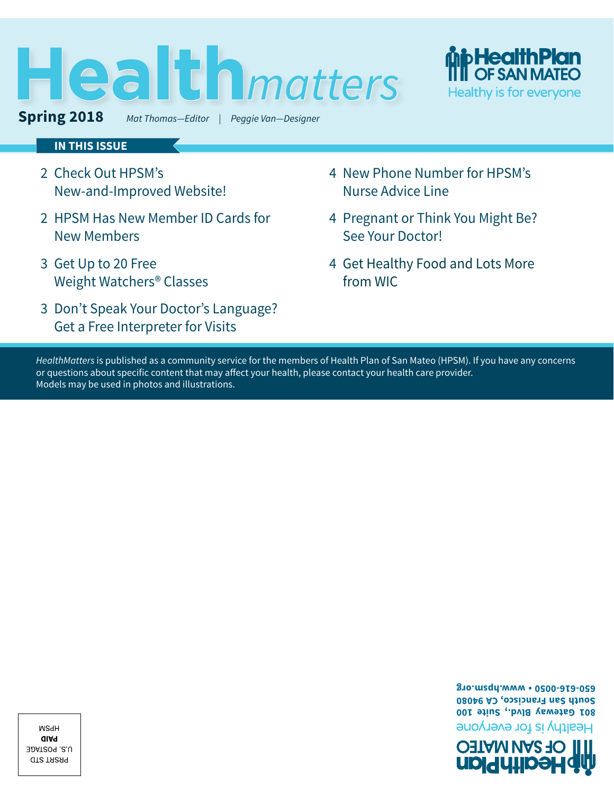# **Health** *matters*



**Spring 2018** *Mat Thomas—Editor | Peggie Van—Designer*



#### **IN THIS ISSUE**

- 2 [Check Out HPSM's](#page-1-0)  [New-and-Improved Website!](#page-1-0)
- [2](#page-1-0) HPSM Has New Member ID Cards for New Members
- 3 [Get Up to 20 Free](#page-2-0)  [Weight Watchers® Classes](#page-2-0)
- 3 [Don't Speak Your Doctor's Language?](#page-2-0)  [Get a Free Interpreter for Visits](#page-2-0)
- 4 [New Phone Number for HPSM's](#page-3-0)  [Nurse Advice Line](#page-3-0)
- 4 [Pregnant or Think You Might Be?](#page-3-0)  [See Your Doctor!](#page-3-0)
- [4](#page-3-0) Get Healthy Food and Lots More from WIC

*HealthMatters* is published as a community service for the members of Health Plan of San Mateo (HPSM). If you have any concerns or questions about specific content that may affect your health, please contact your health care provider. Models may be used in photos and illustrations.

> **650-616-0050 • www.hpsm.org South San Francisco, CA 94080 801 Gateway Blvd., Suite 100** Healthy is for everyone



**WSdH QIA9** U.S. POSTAGE **GTS TARA9**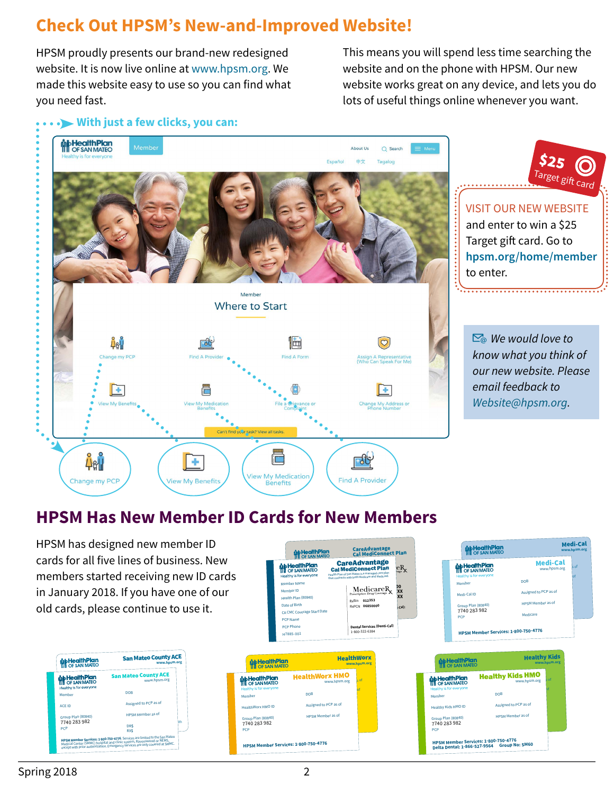## <span id="page-1-0"></span>**Check Out HPSM's New-and-Improved Website!**

HPSM proudly presents our brand-new redesigned website. It is now live online at www.hpsm.org. We made this website easy to use so you can find what you need fast.

This means you will spend less time searching the website and on the phone with HPSM. Our new website works great on any device, and lets you do lots of useful things online whenever you want.

#### **With just a few clicks, you can:**



## **HPSM Has New Member ID Cards for New Members**

HPSM has designed new member ID cards for all five lines of business. New members started receiving new ID cards in January 2018. If you have one of our old cards, please continue to use it.





**MITTH PIGHT**<br>SAN MATEO **Member Name Eective Date:** Health Plan (80840) **Pate of Birth PCP Phone:** CA CMC Coverage Start Date

**Mid-HealthPlan** 

Member ID

 $\frac{\text{icareR}}{\text{xx}}$ RxDI: **XXXXXXXX**

 $R_{x}$ 

**Dental Services (Denti-Cal):** RxBin **012353** RxPCN **06850000**

Health Plan of San Mateo is a managed care plan that contracts with both Medicare and Medicaid. **CareAdvantage<br>Cal MediConnect Plan** 

CareAdvantage<br>Cal MediConnect Plan

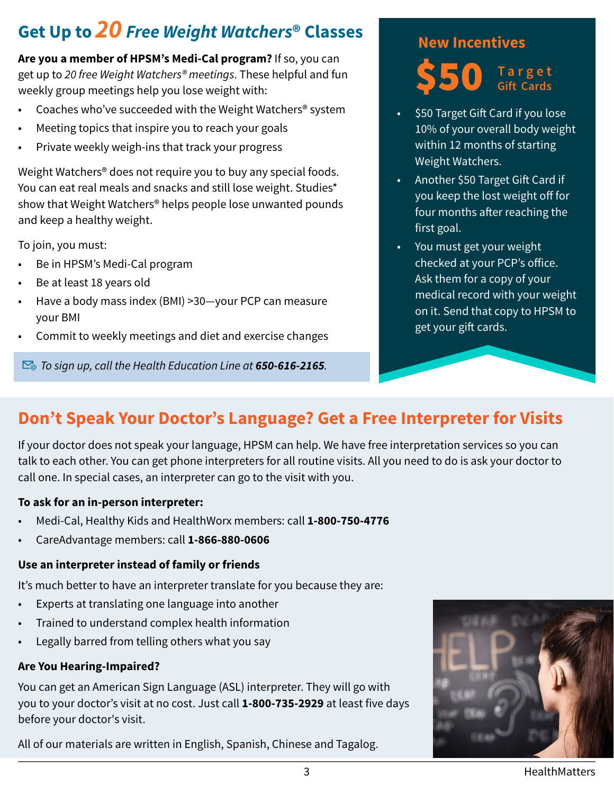# <span id="page-2-0"></span>**Get Up to** *20 Free Weight Watchers***® Classes**

**Are you a member of HPSM's Medi-Cal program?** If so, you can get up to *20 free Weight Watchers® meetings*. These helpful and fun weekly group meetings help you lose weight with:

- Coaches who've succeeded with the Weight Watchers® system
- Meeting topics that inspire you to reach your goals
- Private weekly weigh-ins that track your progress

Weight Watchers® does not require you to buy any special foods. You can eat real meals and snacks and still lose weight. Studies\* show that Weight Watchers® helps people lose unwanted pounds and keep a healthy weight.

To join, you must:

- Be in HPSM's Medi-Cal program
- Be at least 18 years old
- Have a body mass index (BMI) >30—your PCP can measure your BMI
- Commit to weekly meetings and diet and exercise changes

*To sign up, call the Health Education Line at 650-616-2165.* 

#### **New Incentives**



- \$50 Target Gift Card if you lose 10% of your overall body weight within 12 months of starting Weight Watchers.
- Another \$50 Target Gift Card if you keep the lost weight off for four months after reaching the first goal.
- You must get your weight checked at your PCP's office. Ask them for a copy of your medical record with your weight on it. Send that copy to HPSM to get your gift cards.

## **Don't Speak Your Doctor's Language? Get a Free Interpreter for Visits**

If your doctor does not speak your language, HPSM can help. We have free interpretation services so you can talk to each other. You can get phone interpreters for all routine visits. All you need to do is ask your doctor to call one. In special cases, an interpreter can go to the visit with you.

#### **To ask for an in-person interpreter:**

- Medi-Cal, Healthy Kids and HealthWorx members: call **1-800-750-4776**
- CareAdvantage members: call **1-866-880-0606**

#### **Use an interpreter instead of family or friends**

It's much better to have an interpreter translate for you because they are:

- Experts at translating one language into another
- Trained to understand complex health information
- Legally barred from telling others what you say

#### **Are You Hearing-Impaired?**

You can get an American Sign Language (ASL) interpreter. They will go with you to your doctor's visit at no cost. Just call **1-800-735-2929** at least five days before your doctor's visit.

All of our materials are written in English, Spanish, Chinese and Tagalog.